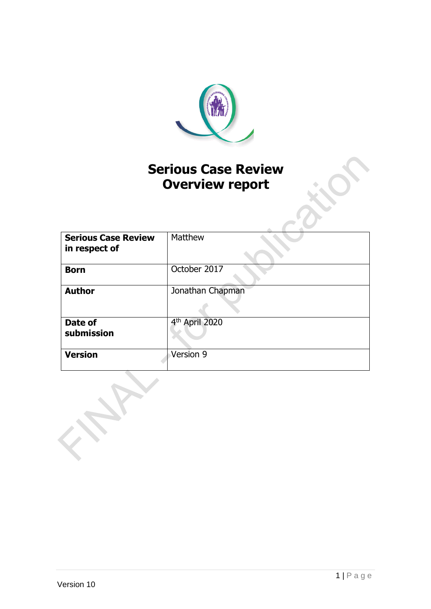

# **Serious Case Review Overview report**

| <b>Serious Case Review</b><br>in respect of | Matthew                    |
|---------------------------------------------|----------------------------|
| <b>Born</b>                                 | October 2017               |
| <b>Author</b>                               | Jonathan Chapman           |
| Date of<br>submission                       | 4 <sup>th</sup> April 2020 |
| <b>Version</b>                              | Version 9                  |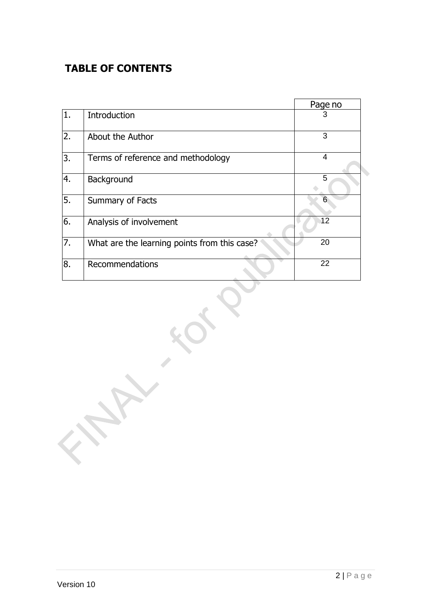## **TABLE OF CONTENTS**

|     |                                              | Page no |
|-----|----------------------------------------------|---------|
| 11. | Introduction                                 | 3       |
| 2.  | About the Author                             | 3       |
| 3.  | Terms of reference and methodology           | 4       |
| 4.  | Background                                   | 5       |
| 5.  | Summary of Facts                             | 6       |
| 6.  | Analysis of involvement                      | 12      |
| 7.  | What are the learning points from this case? | 20      |
| 8.  | Recommendations                              | 22      |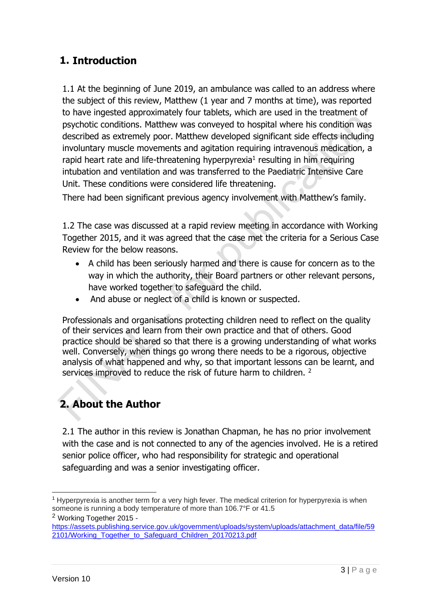### **1. Introduction**

1.1 At the beginning of June 2019, an ambulance was called to an address where the subject of this review, Matthew (1 year and 7 months at time), was reported to have ingested approximately four tablets, which are used in the treatment of psychotic conditions. Matthew was conveyed to hospital where his condition was described as extremely poor. Matthew developed significant side effects including involuntary muscle movements and agitation requiring intravenous medication, a rapid heart rate and life-threatening hyperpyrexia<sup>1</sup> resulting in him requiring intubation and ventilation and was transferred to the Paediatric Intensive Care Unit. These conditions were considered life threatening.

There had been significant previous agency involvement with Matthew's family.

1.2 The case was discussed at a rapid review meeting in accordance with Working Together 2015, and it was agreed that the case met the criteria for a Serious Case Review for the below reasons.

- A child has been seriously harmed and there is cause for concern as to the way in which the authority, their Board partners or other relevant persons, have worked together to safeguard the child.
- And abuse or neglect of a child is known or suspected.

Professionals and organisations protecting children need to reflect on the quality of their services and learn from their own practice and that of others. Good practice should be shared so that there is a growing understanding of what works well. Conversely, when things go wrong there needs to be a rigorous, objective analysis of what happened and why, so that important lessons can be learnt, and services improved to reduce the risk of future harm to children. <sup>2</sup>

# **2. About the Author**

2.1 The author in this review is Jonathan Chapman, he has no prior involvement with the case and is not connected to any of the agencies involved. He is a retired senior police officer, who had responsibility for strategic and operational safeguarding and was a senior investigating officer.

```
2 Working Together 2015 -
```
<sup>1</sup> Hyperpyrexia is another term for a very high fever. The medical criterion for hyperpyrexia is when someone is running a body temperature of more than 106.7°F or 41.5

[https://assets.publishing.service.gov.uk/government/uploads/system/uploads/attachment\\_data/file/59](https://assets.publishing.service.gov.uk/government/uploads/system/uploads/attachment_data/file/592101/Working_Together_to_Safeguard_Children_20170213.pdf) [2101/Working\\_Together\\_to\\_Safeguard\\_Children\\_20170213.pdf](https://assets.publishing.service.gov.uk/government/uploads/system/uploads/attachment_data/file/592101/Working_Together_to_Safeguard_Children_20170213.pdf)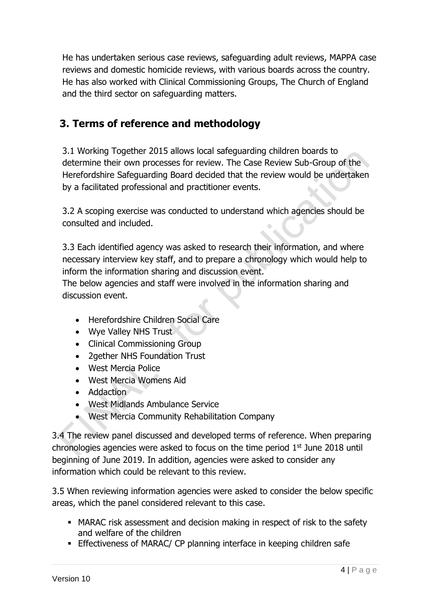He has undertaken serious case reviews, safeguarding adult reviews, MAPPA case reviews and domestic homicide reviews, with various boards across the country. He has also worked with Clinical Commissioning Groups, The Church of England and the third sector on safeguarding matters.

## **3. Terms of reference and methodology**

3.1 Working Together 2015 allows local safeguarding children boards to determine their own processes for review. The Case Review Sub-Group of the Herefordshire Safeguarding Board decided that the review would be undertaken by a facilitated professional and practitioner events.

3.2 A scoping exercise was conducted to understand which agencies should be consulted and included.

3.3 Each identified agency was asked to research their information, and where necessary interview key staff, and to prepare a chronology which would help to inform the information sharing and discussion event.

The below agencies and staff were involved in the information sharing and discussion event.

- Herefordshire Children Social Care
- Wye Valley NHS Trust
- Clinical Commissioning Group
- 2gether NHS Foundation Trust
- West Mercia Police
- West Mercia Womens Aid
- Addaction
- West Midlands Ambulance Service
- West Mercia Community Rehabilitation Company

3.4 The review panel discussed and developed terms of reference. When preparing chronologies agencies were asked to focus on the time period  $1<sup>st</sup>$  June 2018 until beginning of June 2019. In addition, agencies were asked to consider any information which could be relevant to this review.

3.5 When reviewing information agencies were asked to consider the below specific areas, which the panel considered relevant to this case.

- MARAC risk assessment and decision making in respect of risk to the safety and welfare of the children
- **Effectiveness of MARAC/ CP planning interface in keeping children safe**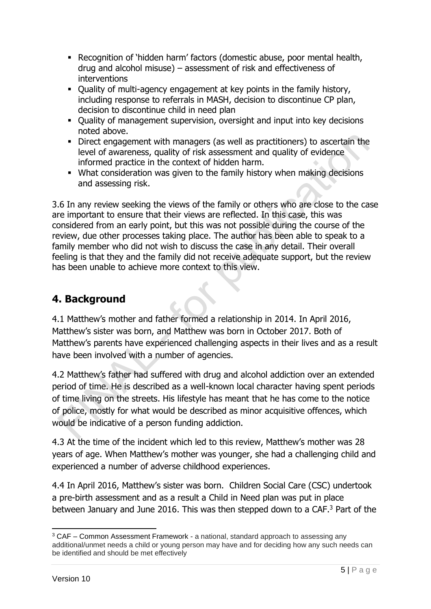- Recognition of 'hidden harm' factors (domestic abuse, poor mental health, drug and alcohol misuse) – assessment of risk and effectiveness of interventions
- Quality of multi-agency engagement at key points in the family history, including response to referrals in MASH, decision to discontinue CP plan, decision to discontinue child in need plan
- Quality of management supervision, oversight and input into key decisions noted above.
- Direct engagement with managers (as well as practitioners) to ascertain the level of awareness, quality of risk assessment and quality of evidence informed practice in the context of hidden harm.
- What consideration was given to the family history when making decisions and assessing risk.

3.6 In any review seeking the views of the family or others who are close to the case are important to ensure that their views are reflected. In this case, this was considered from an early point, but this was not possible during the course of the review, due other processes taking place. The author has been able to speak to a family member who did not wish to discuss the case in any detail. Their overall feeling is that they and the family did not receive adequate support, but the review has been unable to achieve more context to this view.

## **4. Background**

4.1 Matthew's mother and father formed a relationship in 2014. In April 2016, Matthew's sister was born, and Matthew was born in October 2017. Both of Matthew's parents have experienced challenging aspects in their lives and as a result have been involved with a number of agencies.

4.2 Matthew's father had suffered with drug and alcohol addiction over an extended period of time. He is described as a well-known local character having spent periods of time living on the streets. His lifestyle has meant that he has come to the notice of police, mostly for what would be described as minor acquisitive offences, which would be indicative of a person funding addiction.

4.3 At the time of the incident which led to this review, Matthew's mother was 28 years of age. When Matthew's mother was younger, she had a challenging child and experienced a number of adverse childhood experiences.

4.4 In April 2016, Matthew's sister was born. Children Social Care (CSC) undertook a pre-birth assessment and as a result a Child in Need plan was put in place between January and June 2016. This was then stepped down to a CAF.<sup>3</sup> Part of the

 $3$  CAF – Common Assessment Framework - a national, standard approach to assessing any additional/unmet needs a child or young person may have and for deciding how any such needs can be identified and should be met effectively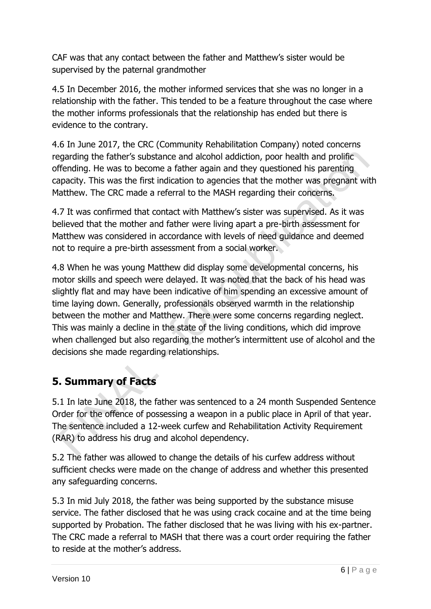CAF was that any contact between the father and Matthew's sister would be supervised by the paternal grandmother

4.5 In December 2016, the mother informed services that she was no longer in a relationship with the father. This tended to be a feature throughout the case where the mother informs professionals that the relationship has ended but there is evidence to the contrary.

4.6 In June 2017, the CRC (Community Rehabilitation Company) noted concerns regarding the father's substance and alcohol addiction, poor health and prolific offending. He was to become a father again and they questioned his parenting capacity. This was the first indication to agencies that the mother was pregnant with Matthew. The CRC made a referral to the MASH regarding their concerns.

4.7 It was confirmed that contact with Matthew's sister was supervised. As it was believed that the mother and father were living apart a pre-birth assessment for Matthew was considered in accordance with levels of need guidance and deemed not to require a pre-birth assessment from a social worker.

4.8 When he was young Matthew did display some developmental concerns, his motor skills and speech were delayed. It was noted that the back of his head was slightly flat and may have been indicative of him spending an excessive amount of time laying down. Generally, professionals observed warmth in the relationship between the mother and Matthew. There were some concerns regarding neglect. This was mainly a decline in the state of the living conditions, which did improve when challenged but also regarding the mother's intermittent use of alcohol and the decisions she made regarding relationships.

## **5. Summary of Facts**

5.1 In late June 2018, the father was sentenced to a 24 month Suspended Sentence Order for the offence of possessing a weapon in a public place in April of that year. The sentence included a 12-week curfew and Rehabilitation Activity Requirement (RAR) to address his drug and alcohol dependency.

5.2 The father was allowed to change the details of his curfew address without sufficient checks were made on the change of address and whether this presented any safeguarding concerns.

5.3 In mid July 2018, the father was being supported by the substance misuse service. The father disclosed that he was using crack cocaine and at the time being supported by Probation. The father disclosed that he was living with his ex-partner. The CRC made a referral to MASH that there was a court order requiring the father to reside at the mother's address.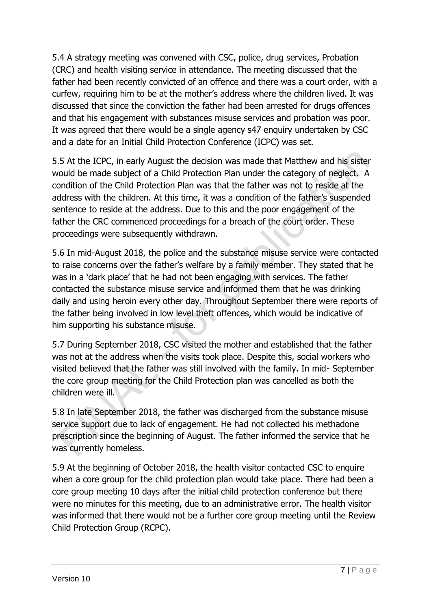5.4 A strategy meeting was convened with CSC, police, drug services, Probation (CRC) and health visiting service in attendance. The meeting discussed that the father had been recently convicted of an offence and there was a court order, with a curfew, requiring him to be at the mother's address where the children lived. It was discussed that since the conviction the father had been arrested for drugs offences and that his engagement with substances misuse services and probation was poor. It was agreed that there would be a single agency s47 enquiry undertaken by CSC and a date for an Initial Child Protection Conference (ICPC) was set.

5.5 At the ICPC, in early August the decision was made that Matthew and his sister would be made subject of a Child Protection Plan under the category of neglect. A condition of the Child Protection Plan was that the father was not to reside at the address with the children. At this time, it was a condition of the father's suspended sentence to reside at the address. Due to this and the poor engagement of the father the CRC commenced proceedings for a breach of the court order. These proceedings were subsequently withdrawn.

5.6 In mid-August 2018, the police and the substance misuse service were contacted to raise concerns over the father's welfare by a family member. They stated that he was in a 'dark place' that he had not been engaging with services. The father contacted the substance misuse service and informed them that he was drinking daily and using heroin every other day. Throughout September there were reports of the father being involved in low level theft offences, which would be indicative of him supporting his substance misuse.

5.7 During September 2018, CSC visited the mother and established that the father was not at the address when the visits took place. Despite this, social workers who visited believed that the father was still involved with the family. In mid- September the core group meeting for the Child Protection plan was cancelled as both the children were ill.

5.8 In late September 2018, the father was discharged from the substance misuse service support due to lack of engagement. He had not collected his methadone prescription since the beginning of August. The father informed the service that he was currently homeless.

5.9 At the beginning of October 2018, the health visitor contacted CSC to enquire when a core group for the child protection plan would take place. There had been a core group meeting 10 days after the initial child protection conference but there were no minutes for this meeting, due to an administrative error. The health visitor was informed that there would not be a further core group meeting until the Review Child Protection Group (RCPC).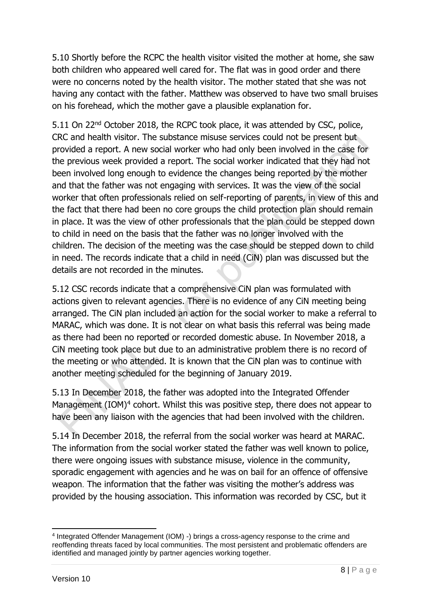5.10 Shortly before the RCPC the health visitor visited the mother at home, she saw both children who appeared well cared for. The flat was in good order and there were no concerns noted by the health visitor. The mother stated that she was not having any contact with the father. Matthew was observed to have two small bruises on his forehead, which the mother gave a plausible explanation for.

5.11 On 22<sup>nd</sup> October 2018, the RCPC took place, it was attended by CSC, police, CRC and health visitor. The substance misuse services could not be present but provided a report. A new social worker who had only been involved in the case for the previous week provided a report. The social worker indicated that they had not been involved long enough to evidence the changes being reported by the mother and that the father was not engaging with services. It was the view of the social worker that often professionals relied on self-reporting of parents, in view of this and the fact that there had been no core groups the child protection plan should remain in place. It was the view of other professionals that the plan could be stepped down to child in need on the basis that the father was no longer involved with the children. The decision of the meeting was the case should be stepped down to child in need. The records indicate that a child in need (CiN) plan was discussed but the details are not recorded in the minutes.

5.12 CSC records indicate that a comprehensive CiN plan was formulated with actions given to relevant agencies. There is no evidence of any CiN meeting being arranged. The CiN plan included an action for the social worker to make a referral to MARAC, which was done. It is not clear on what basis this referral was being made as there had been no reported or recorded domestic abuse. In November 2018, a CiN meeting took place but due to an administrative problem there is no record of the meeting or who attended. It is known that the CiN plan was to continue with another meeting scheduled for the beginning of January 2019.

5.13 In December 2018, the father was adopted into the Integrated Offender Management  $(IOM)^4$  cohort. Whilst this was positive step, there does not appear to have been any liaison with the agencies that had been involved with the children.

5.14 In December 2018, the referral from the social worker was heard at MARAC. The information from the social worker stated the father was well known to police, there were ongoing issues with substance misuse, violence in the community, sporadic engagement with agencies and he was on bail for an offence of offensive weapon. The information that the father was visiting the mother's address was provided by the housing association. This information was recorded by CSC, but it

<sup>&</sup>lt;sup>4</sup> Integrated Offender Management (IOM) -) brings a cross-agency response to the crime and reoffending threats faced by local communities. The most persistent and problematic offenders are identified and managed jointly by partner agencies working together.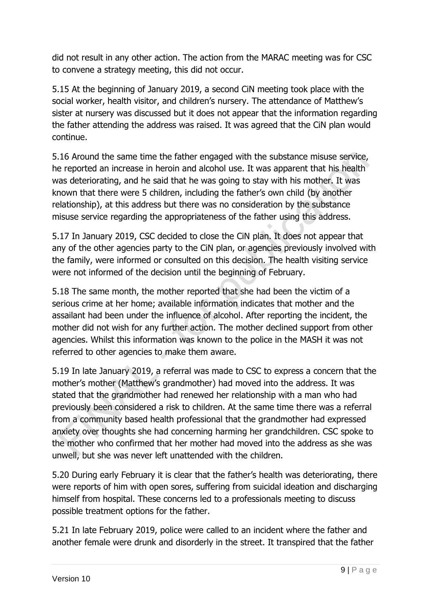did not result in any other action. The action from the MARAC meeting was for CSC to convene a strategy meeting, this did not occur.

5.15 At the beginning of January 2019, a second CiN meeting took place with the social worker, health visitor, and children's nursery. The attendance of Matthew's sister at nursery was discussed but it does not appear that the information regarding the father attending the address was raised. It was agreed that the CiN plan would continue.

5.16 Around the same time the father engaged with the substance misuse service, he reported an increase in heroin and alcohol use. It was apparent that his health was deteriorating, and he said that he was going to stay with his mother. It was known that there were 5 children, including the father's own child (by another relationship), at this address but there was no consideration by the substance misuse service regarding the appropriateness of the father using this address.

5.17 In January 2019, CSC decided to close the CiN plan. It does not appear that any of the other agencies party to the CiN plan, or agencies previously involved with the family, were informed or consulted on this decision. The health visiting service were not informed of the decision until the beginning of February.

5.18 The same month, the mother reported that she had been the victim of a serious crime at her home; available information indicates that mother and the assailant had been under the influence of alcohol. After reporting the incident, the mother did not wish for any further action. The mother declined support from other agencies. Whilst this information was known to the police in the MASH it was not referred to other agencies to make them aware.

5.19 In late January 2019, a referral was made to CSC to express a concern that the mother's mother (Matthew's grandmother) had moved into the address. It was stated that the grandmother had renewed her relationship with a man who had previously been considered a risk to children. At the same time there was a referral from a community based health professional that the grandmother had expressed anxiety over thoughts she had concerning harming her grandchildren. CSC spoke to the mother who confirmed that her mother had moved into the address as she was unwell, but she was never left unattended with the children.

5.20 During early February it is clear that the father's health was deteriorating, there were reports of him with open sores, suffering from suicidal ideation and discharging himself from hospital. These concerns led to a professionals meeting to discuss possible treatment options for the father.

5.21 In late February 2019, police were called to an incident where the father and another female were drunk and disorderly in the street. It transpired that the father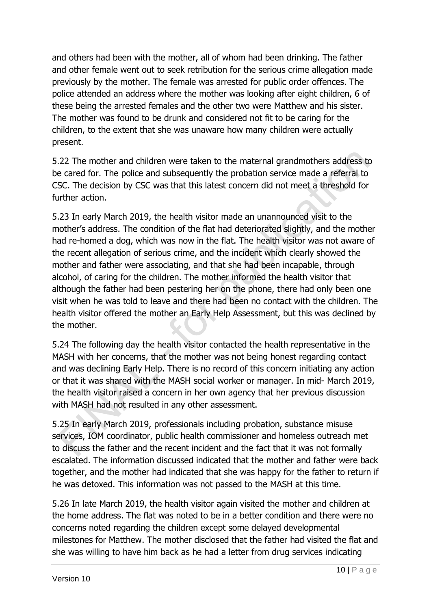and others had been with the mother, all of whom had been drinking. The father and other female went out to seek retribution for the serious crime allegation made previously by the mother. The female was arrested for public order offences. The police attended an address where the mother was looking after eight children, 6 of these being the arrested females and the other two were Matthew and his sister. The mother was found to be drunk and considered not fit to be caring for the children, to the extent that she was unaware how many children were actually present.

5.22 The mother and children were taken to the maternal grandmothers address to be cared for. The police and subsequently the probation service made a referral to CSC. The decision by CSC was that this latest concern did not meet a threshold for further action.

5.23 In early March 2019, the health visitor made an unannounced visit to the mother's address. The condition of the flat had deteriorated slightly, and the mother had re-homed a dog, which was now in the flat. The health visitor was not aware of the recent allegation of serious crime, and the incident which clearly showed the mother and father were associating, and that she had been incapable, through alcohol, of caring for the children. The mother informed the health visitor that although the father had been pestering her on the phone, there had only been one visit when he was told to leave and there had been no contact with the children. The health visitor offered the mother an Early Help Assessment, but this was declined by the mother.

5.24 The following day the health visitor contacted the health representative in the MASH with her concerns, that the mother was not being honest regarding contact and was declining Early Help. There is no record of this concern initiating any action or that it was shared with the MASH social worker or manager. In mid- March 2019, the health visitor raised a concern in her own agency that her previous discussion with MASH had not resulted in any other assessment.

5.25 In early March 2019, professionals including probation, substance misuse services, IOM coordinator, public health commissioner and homeless outreach met to discuss the father and the recent incident and the fact that it was not formally escalated. The information discussed indicated that the mother and father were back together, and the mother had indicated that she was happy for the father to return if he was detoxed. This information was not passed to the MASH at this time.

5.26 In late March 2019, the health visitor again visited the mother and children at the home address. The flat was noted to be in a better condition and there were no concerns noted regarding the children except some delayed developmental milestones for Matthew. The mother disclosed that the father had visited the flat and she was willing to have him back as he had a letter from drug services indicating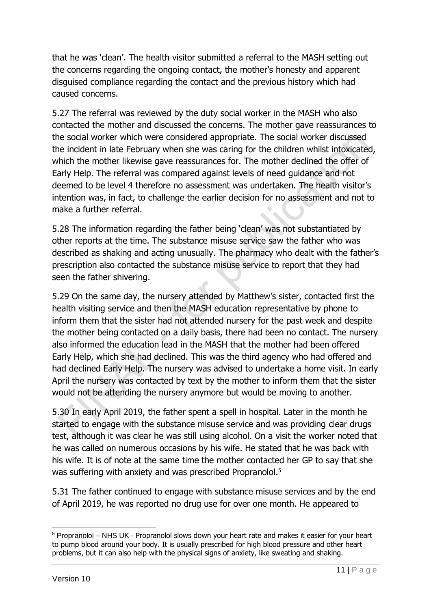that he was 'clean'. The health visitor submitted a referral to the MASH setting out the concerns regarding the ongoing contact, the mother's honesty and apparent disguised compliance regarding the contact and the previous history which had caused concerns.

5.27 The referral was reviewed by the duty social worker in the MASH who also contacted the mother and discussed the concerns. The mother gave reassurances to the social worker which were considered appropriate. The social worker discussed the incident in late February when she was caring for the children whilst intoxicated, which the mother likewise gave reassurances for. The mother declined the offer of Early Help. The referral was compared against levels of need guidance and not deemed to be level 4 therefore no assessment was undertaken. The health visitor's intention was, in fact, to challenge the earlier decision for no assessment and not to make a further referral.

5.28 The information regarding the father being 'clean' was not substantiated by other reports at the time. The substance misuse service saw the father who was described as shaking and acting unusually. The pharmacy who dealt with the father's prescription also contacted the substance misuse service to report that they had seen the father shivering.

5.29 On the same day, the nursery attended by Matthew's sister, contacted first the health visiting service and then the MASH education representative by phone to inform them that the sister had not attended nursery for the past week and despite the mother being contacted on a daily basis, there had been no contact. The nursery also informed the education lead in the MASH that the mother had been offered Early Help, which she had declined. This was the third agency who had offered and had declined Early Help. The nursery was advised to undertake a home visit. In early April the nursery was contacted by text by the mother to inform them that the sister would not be attending the nursery anymore but would be moving to another.

5.30 In early April 2019, the father spent a spell in hospital. Later in the month he started to engage with the substance misuse service and was providing clear drugs test, although it was clear he was still using alcohol. On a visit the worker noted that he was called on numerous occasions by his wife. He stated that he was back with his wife. It is of note at the same time the mother contacted her GP to say that she was suffering with anxiety and was prescribed Propranolol.<sup>5</sup>

5.31 The father continued to engage with substance misuse services and by the end of April 2019, he was reported no drug use for over one month. He appeared to

<sup>&</sup>lt;sup>5</sup> Propranolol – NHS UK - Propranolol slows down your heart rate and makes it easier for your heart to pump blood around your body. It is usually prescribed for high blood pressure and other heart problems, but it can also help with the physical signs of anxiety, like sweating and shaking.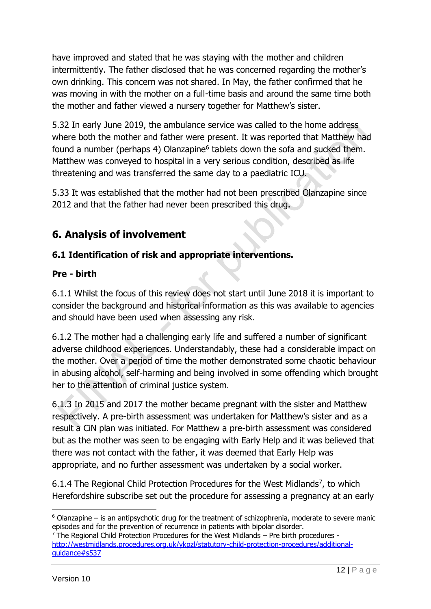have improved and stated that he was staying with the mother and children intermittently. The father disclosed that he was concerned regarding the mother's own drinking. This concern was not shared. In May, the father confirmed that he was moving in with the mother on a full-time basis and around the same time both the mother and father viewed a nursery together for Matthew's sister.

5.32 In early June 2019, the ambulance service was called to the home address where both the mother and father were present. It was reported that Matthew had found a number (perhaps 4) Olanzapine<sup>6</sup> tablets down the sofa and sucked them. Matthew was conveyed to hospital in a very serious condition, described as life threatening and was transferred the same day to a paediatric ICU.

5.33 It was established that the mother had not been prescribed Olanzapine since 2012 and that the father had never been prescribed this drug.

## **6. Analysis of involvement**

### **6.1 Identification of risk and appropriate interventions.**

### **Pre - birth**

6.1.1 Whilst the focus of this review does not start until June 2018 it is important to consider the background and historical information as this was available to agencies and should have been used when assessing any risk.

6.1.2 The mother had a challenging early life and suffered a number of significant adverse childhood experiences. Understandably, these had a considerable impact on the mother. Over a period of time the mother demonstrated some chaotic behaviour in abusing alcohol, self-harming and being involved in some offending which brought her to the attention of criminal justice system.

6.1.3 In 2015 and 2017 the mother became pregnant with the sister and Matthew respectively. A pre-birth assessment was undertaken for Matthew's sister and as a result a CiN plan was initiated. For Matthew a pre-birth assessment was considered but as the mother was seen to be engaging with Early Help and it was believed that there was not contact with the father, it was deemed that Early Help was appropriate, and no further assessment was undertaken by a social worker.

6.1.4 The Regional Child Protection Procedures for the West Midlands<sup>7</sup>, to which Herefordshire subscribe set out the procedure for assessing a pregnancy at an early

 $6$  Olanzapine – is an antipsychotic drug for the treatment of schizophrenia, moderate to severe manic episodes and for the prevention of recurrence in patients with bipolar disorder.

 $7$  The Regional Child Protection Procedures for the West Midlands – Pre birth procedures [http://westmidlands.procedures.org.uk/ykpzl/statutory-child-protection-procedures/additional](http://westmidlands.procedures.org.uk/ykpzl/statutory-child-protection-procedures/additional-guidance#s537)[guidance#s537](http://westmidlands.procedures.org.uk/ykpzl/statutory-child-protection-procedures/additional-guidance#s537)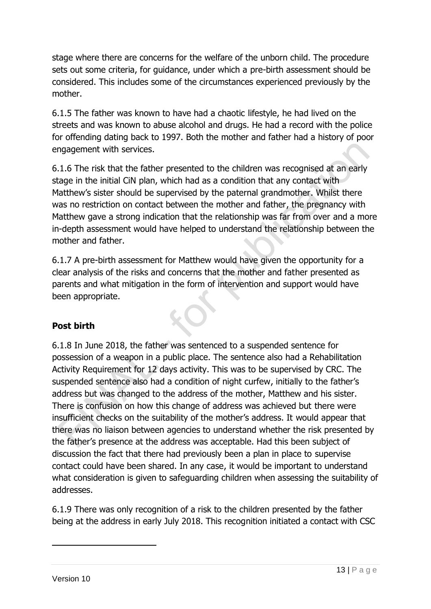stage where there are concerns for the welfare of the unborn child. The procedure sets out some criteria, for guidance, under which a pre-birth assessment should be considered. This includes some of the circumstances experienced previously by the mother.

6.1.5 The father was known to have had a chaotic lifestyle, he had lived on the streets and was known to abuse alcohol and drugs. He had a record with the police for offending dating back to 1997. Both the mother and father had a history of poor engagement with services.

6.1.6 The risk that the father presented to the children was recognised at an early stage in the initial CiN plan, which had as a condition that any contact with Matthew's sister should be supervised by the paternal grandmother. Whilst there was no restriction on contact between the mother and father, the pregnancy with Matthew gave a strong indication that the relationship was far from over and a more in-depth assessment would have helped to understand the relationship between the mother and father.

6.1.7 A pre-birth assessment for Matthew would have given the opportunity for a clear analysis of the risks and concerns that the mother and father presented as parents and what mitigation in the form of intervention and support would have been appropriate.

### **Post birth**

6.1.8 In June 2018, the father was sentenced to a suspended sentence for possession of a weapon in a public place. The sentence also had a Rehabilitation Activity Requirement for 12 days activity. This was to be supervised by CRC. The suspended sentence also had a condition of night curfew, initially to the father's address but was changed to the address of the mother, Matthew and his sister. There is confusion on how this change of address was achieved but there were insufficient checks on the suitability of the mother's address. It would appear that there was no liaison between agencies to understand whether the risk presented by the father's presence at the address was acceptable. Had this been subject of discussion the fact that there had previously been a plan in place to supervise contact could have been shared. In any case, it would be important to understand what consideration is given to safeguarding children when assessing the suitability of addresses.

6.1.9 There was only recognition of a risk to the children presented by the father being at the address in early July 2018. This recognition initiated a contact with CSC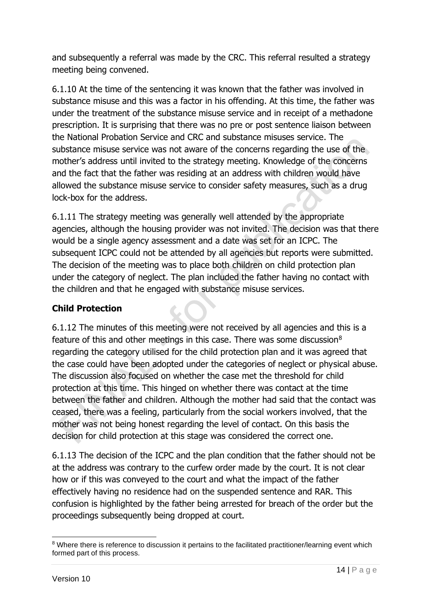and subsequently a referral was made by the CRC. This referral resulted a strategy meeting being convened.

6.1.10 At the time of the sentencing it was known that the father was involved in substance misuse and this was a factor in his offending. At this time, the father was under the treatment of the substance misuse service and in receipt of a methadone prescription. It is surprising that there was no pre or post sentence liaison between the National Probation Service and CRC and substance misuses service. The substance misuse service was not aware of the concerns regarding the use of the mother's address until invited to the strategy meeting. Knowledge of the concerns and the fact that the father was residing at an address with children would have allowed the substance misuse service to consider safety measures, such as a drug lock-box for the address.

6.1.11 The strategy meeting was generally well attended by the appropriate agencies, although the housing provider was not invited. The decision was that there would be a single agency assessment and a date was set for an ICPC. The subsequent ICPC could not be attended by all agencies but reports were submitted. The decision of the meeting was to place both children on child protection plan under the category of neglect. The plan included the father having no contact with the children and that he engaged with substance misuse services.

### **Child Protection**

6.1.12 The minutes of this meeting were not received by all agencies and this is a feature of this and other meetings in this case. There was some discussion $8$ regarding the category utilised for the child protection plan and it was agreed that the case could have been adopted under the categories of neglect or physical abuse. The discussion also focused on whether the case met the threshold for child protection at this time. This hinged on whether there was contact at the time between the father and children. Although the mother had said that the contact was ceased, there was a feeling, particularly from the social workers involved, that the mother was not being honest regarding the level of contact. On this basis the decision for child protection at this stage was considered the correct one.

6.1.13 The decision of the ICPC and the plan condition that the father should not be at the address was contrary to the curfew order made by the court. It is not clear how or if this was conveyed to the court and what the impact of the father effectively having no residence had on the suspended sentence and RAR. This confusion is highlighted by the father being arrested for breach of the order but the proceedings subsequently being dropped at court.

<sup>&</sup>lt;sup>8</sup> Where there is reference to discussion it pertains to the facilitated practitioner/learning event which formed part of this process.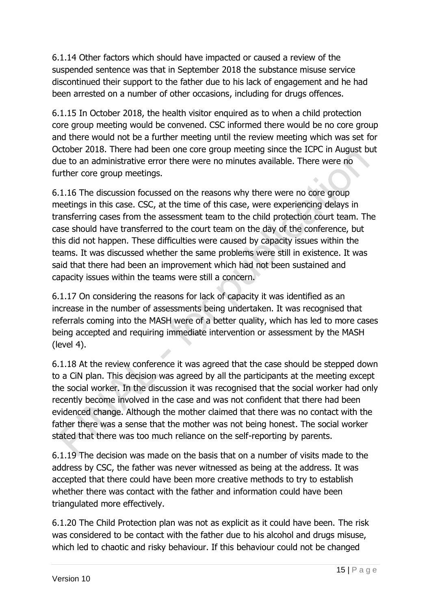6.1.14 Other factors which should have impacted or caused a review of the suspended sentence was that in September 2018 the substance misuse service discontinued their support to the father due to his lack of engagement and he had been arrested on a number of other occasions, including for drugs offences.

6.1.15 In October 2018, the health visitor enquired as to when a child protection core group meeting would be convened. CSC informed there would be no core group and there would not be a further meeting until the review meeting which was set for October 2018. There had been one core group meeting since the ICPC in August but due to an administrative error there were no minutes available. There were no further core group meetings.

6.1.16 The discussion focussed on the reasons why there were no core group meetings in this case. CSC, at the time of this case, were experiencing delays in transferring cases from the assessment team to the child protection court team. The case should have transferred to the court team on the day of the conference, but this did not happen. These difficulties were caused by capacity issues within the teams. It was discussed whether the same problems were still in existence. It was said that there had been an improvement which had not been sustained and capacity issues within the teams were still a concern.

6.1.17 On considering the reasons for lack of capacity it was identified as an increase in the number of assessments being undertaken. It was recognised that referrals coming into the MASH were of a better quality, which has led to more cases being accepted and requiring immediate intervention or assessment by the MASH (level 4).

6.1.18 At the review conference it was agreed that the case should be stepped down to a CiN plan. This decision was agreed by all the participants at the meeting except the social worker. In the discussion it was recognised that the social worker had only recently become involved in the case and was not confident that there had been evidenced change. Although the mother claimed that there was no contact with the father there was a sense that the mother was not being honest. The social worker stated that there was too much reliance on the self-reporting by parents.

6.1.19 The decision was made on the basis that on a number of visits made to the address by CSC, the father was never witnessed as being at the address. It was accepted that there could have been more creative methods to try to establish whether there was contact with the father and information could have been triangulated more effectively.

6.1.20 The Child Protection plan was not as explicit as it could have been. The risk was considered to be contact with the father due to his alcohol and drugs misuse, which led to chaotic and risky behaviour. If this behaviour could not be changed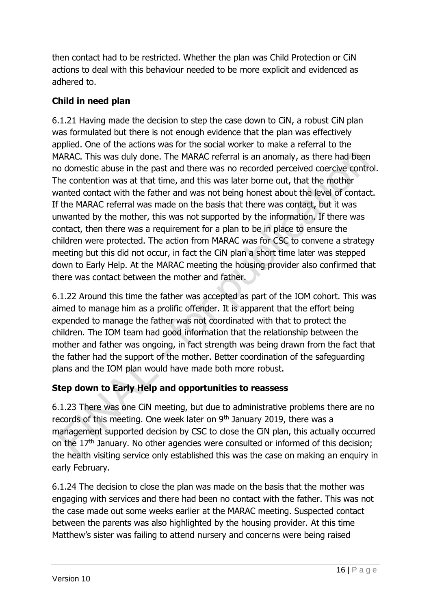then contact had to be restricted. Whether the plan was Child Protection or CiN actions to deal with this behaviour needed to be more explicit and evidenced as adhered to.

#### **Child in need plan**

6.1.21 Having made the decision to step the case down to CiN, a robust CiN plan was formulated but there is not enough evidence that the plan was effectively applied. One of the actions was for the social worker to make a referral to the MARAC. This was duly done. The MARAC referral is an anomaly, as there had been no domestic abuse in the past and there was no recorded perceived coercive control. The contention was at that time, and this was later borne out, that the mother wanted contact with the father and was not being honest about the level of contact. If the MARAC referral was made on the basis that there was contact, but it was unwanted by the mother, this was not supported by the information. If there was contact, then there was a requirement for a plan to be in place to ensure the children were protected. The action from MARAC was for CSC to convene a strategy meeting but this did not occur, in fact the CiN plan a short time later was stepped down to Early Help. At the MARAC meeting the housing provider also confirmed that there was contact between the mother and father.

6.1.22 Around this time the father was accepted as part of the IOM cohort. This was aimed to manage him as a prolific offender. It is apparent that the effort being expended to manage the father was not coordinated with that to protect the children. The IOM team had good information that the relationship between the mother and father was ongoing, in fact strength was being drawn from the fact that the father had the support of the mother. Better coordination of the safeguarding plans and the IOM plan would have made both more robust.

### **Step down to Early Help and opportunities to reassess**

6.1.23 There was one CiN meeting, but due to administrative problems there are no records of this meeting. One week later on 9<sup>th</sup> January 2019, there was a management supported decision by CSC to close the CiN plan, this actually occurred on the 17<sup>th</sup> January. No other agencies were consulted or informed of this decision; the health visiting service only established this was the case on making an enquiry in early February.

6.1.24 The decision to close the plan was made on the basis that the mother was engaging with services and there had been no contact with the father. This was not the case made out some weeks earlier at the MARAC meeting. Suspected contact between the parents was also highlighted by the housing provider. At this time Matthew's sister was failing to attend nursery and concerns were being raised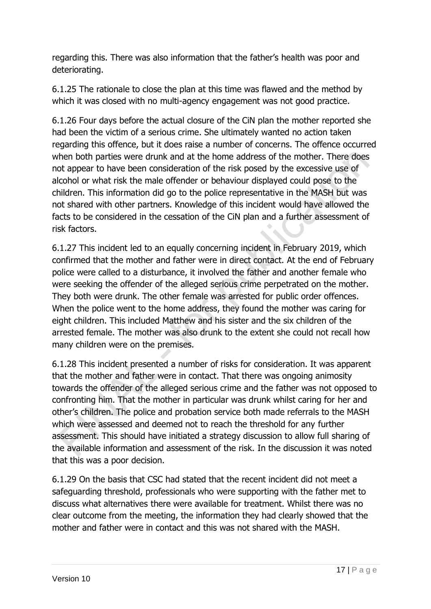regarding this. There was also information that the father's health was poor and deteriorating.

6.1.25 The rationale to close the plan at this time was flawed and the method by which it was closed with no multi-agency engagement was not good practice.

6.1.26 Four days before the actual closure of the CiN plan the mother reported she had been the victim of a serious crime. She ultimately wanted no action taken regarding this offence, but it does raise a number of concerns. The offence occurred when both parties were drunk and at the home address of the mother. There does not appear to have been consideration of the risk posed by the excessive use of alcohol or what risk the male offender or behaviour displayed could pose to the children. This information did go to the police representative in the MASH but was not shared with other partners. Knowledge of this incident would have allowed the facts to be considered in the cessation of the CiN plan and a further assessment of risk factors.

6.1.27 This incident led to an equally concerning incident in February 2019, which confirmed that the mother and father were in direct contact. At the end of February police were called to a disturbance, it involved the father and another female who were seeking the offender of the alleged serious crime perpetrated on the mother. They both were drunk. The other female was arrested for public order offences. When the police went to the home address, they found the mother was caring for eight children. This included Matthew and his sister and the six children of the arrested female. The mother was also drunk to the extent she could not recall how many children were on the premises.

6.1.28 This incident presented a number of risks for consideration. It was apparent that the mother and father were in contact. That there was ongoing animosity towards the offender of the alleged serious crime and the father was not opposed to confronting him. That the mother in particular was drunk whilst caring for her and other's children. The police and probation service both made referrals to the MASH which were assessed and deemed not to reach the threshold for any further assessment. This should have initiated a strategy discussion to allow full sharing of the available information and assessment of the risk. In the discussion it was noted that this was a poor decision.

6.1.29 On the basis that CSC had stated that the recent incident did not meet a safeguarding threshold, professionals who were supporting with the father met to discuss what alternatives there were available for treatment. Whilst there was no clear outcome from the meeting, the information they had clearly showed that the mother and father were in contact and this was not shared with the MASH.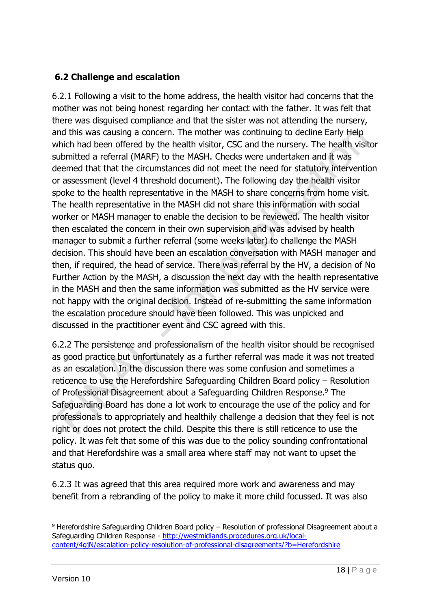#### **6.2 Challenge and escalation**

6.2.1 Following a visit to the home address, the health visitor had concerns that the mother was not being honest regarding her contact with the father. It was felt that there was disguised compliance and that the sister was not attending the nursery, and this was causing a concern. The mother was continuing to decline Early Help which had been offered by the health visitor, CSC and the nursery. The health visitor submitted a referral (MARF) to the MASH. Checks were undertaken and it was deemed that that the circumstances did not meet the need for statutory intervention or assessment (level 4 threshold document). The following day the health visitor spoke to the health representative in the MASH to share concerns from home visit. The health representative in the MASH did not share this information with social worker or MASH manager to enable the decision to be reviewed. The health visitor then escalated the concern in their own supervision and was advised by health manager to submit a further referral (some weeks later) to challenge the MASH decision. This should have been an escalation conversation with MASH manager and then, if required, the head of service. There was referral by the HV, a decision of No Further Action by the MASH, a discussion the next day with the health representative in the MASH and then the same information was submitted as the HV service were not happy with the original decision. Instead of re-submitting the same information the escalation procedure should have been followed. This was unpicked and discussed in the practitioner event and CSC agreed with this.

6.2.2 The persistence and professionalism of the health visitor should be recognised as good practice but unfortunately as a further referral was made it was not treated as an escalation. In the discussion there was some confusion and sometimes a reticence to use the Herefordshire Safeguarding Children Board policy – Resolution of Professional Disagreement about a Safeguarding Children Response.<sup>9</sup> The Safeguarding Board has done a lot work to encourage the use of the policy and for professionals to appropriately and healthily challenge a decision that they feel is not right or does not protect the child. Despite this there is still reticence to use the policy. It was felt that some of this was due to the policy sounding confrontational and that Herefordshire was a small area where staff may not want to upset the status quo.

6.2.3 It was agreed that this area required more work and awareness and may benefit from a rebranding of the policy to make it more child focussed. It was also

<sup>9</sup> Herefordshire Safeguarding Children Board policy - Resolution of professional Disagreement about a Safeguarding Children Response - [http://westmidlands.procedures.org.uk/local](http://westmidlands.procedures.org.uk/local-content/4gjN/escalation-policy-resolution-of-professional-disagreements/?b=Herefordshire)[content/4gjN/escalation-policy-resolution-of-professional-disagreements/?b=Herefordshire](http://westmidlands.procedures.org.uk/local-content/4gjN/escalation-policy-resolution-of-professional-disagreements/?b=Herefordshire)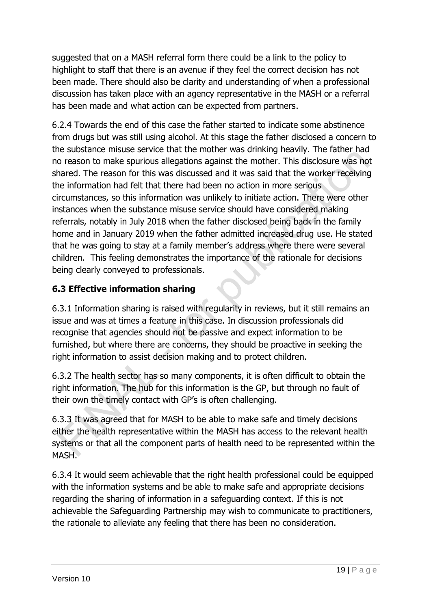suggested that on a MASH referral form there could be a link to the policy to highlight to staff that there is an avenue if they feel the correct decision has not been made. There should also be clarity and understanding of when a professional discussion has taken place with an agency representative in the MASH or a referral has been made and what action can be expected from partners.

6.2.4 Towards the end of this case the father started to indicate some abstinence from drugs but was still using alcohol. At this stage the father disclosed a concern to the substance misuse service that the mother was drinking heavily. The father had no reason to make spurious allegations against the mother. This disclosure was not shared. The reason for this was discussed and it was said that the worker receiving the information had felt that there had been no action in more serious circumstances, so this information was unlikely to initiate action. There were other instances when the substance misuse service should have considered making referrals, notably in July 2018 when the father disclosed being back in the family home and in January 2019 when the father admitted increased drug use. He stated that he was going to stay at a family member's address where there were several children. This feeling demonstrates the importance of the rationale for decisions being clearly conveyed to professionals.

### **6.3 Effective information sharing**

6.3.1 Information sharing is raised with regularity in reviews, but it still remains an issue and was at times a feature in this case. In discussion professionals did recognise that agencies should not be passive and expect information to be furnished, but where there are concerns, they should be proactive in seeking the right information to assist decision making and to protect children.

6.3.2 The health sector has so many components, it is often difficult to obtain the right information. The hub for this information is the GP, but through no fault of their own the timely contact with GP's is often challenging.

6.3.3 It was agreed that for MASH to be able to make safe and timely decisions either the health representative within the MASH has access to the relevant health systems or that all the component parts of health need to be represented within the MASH.

6.3.4 It would seem achievable that the right health professional could be equipped with the information systems and be able to make safe and appropriate decisions regarding the sharing of information in a safeguarding context. If this is not achievable the Safeguarding Partnership may wish to communicate to practitioners, the rationale to alleviate any feeling that there has been no consideration.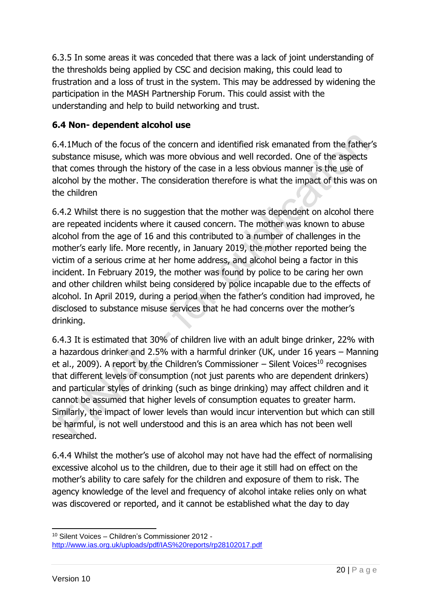6.3.5 In some areas it was conceded that there was a lack of joint understanding of the thresholds being applied by CSC and decision making, this could lead to frustration and a loss of trust in the system. This may be addressed by widening the participation in the MASH Partnership Forum. This could assist with the understanding and help to build networking and trust.

### **6.4 Non- dependent alcohol use**

6.4.1Much of the focus of the concern and identified risk emanated from the father's substance misuse, which was more obvious and well recorded. One of the aspects that comes through the history of the case in a less obvious manner is the use of alcohol by the mother. The consideration therefore is what the impact of this was on the children

6.4.2 Whilst there is no suggestion that the mother was dependent on alcohol there are repeated incidents where it caused concern. The mother was known to abuse alcohol from the age of 16 and this contributed to a number of challenges in the mother's early life. More recently, in January 2019, the mother reported being the victim of a serious crime at her home address, and alcohol being a factor in this incident. In February 2019, the mother was found by police to be caring her own and other children whilst being considered by police incapable due to the effects of alcohol. In April 2019, during a period when the father's condition had improved, he disclosed to substance misuse services that he had concerns over the mother's drinking.

6.4.3 It is estimated that 30% of children live with an adult binge drinker, 22% with a hazardous drinker and 2.5% with a harmful drinker (UK, under 16 years – Manning et al., 2009). A report by the Children's Commissioner – Silent Voices<sup>10</sup> recognises that different levels of consumption (not just parents who are dependent drinkers) and particular styles of drinking (such as binge drinking) may affect children and it cannot be assumed that higher levels of consumption equates to greater harm. Similarly, the impact of lower levels than would incur intervention but which can still be harmful, is not well understood and this is an area which has not been well researched.

6.4.4 Whilst the mother's use of alcohol may not have had the effect of normalising excessive alcohol us to the children, due to their age it still had on effect on the mother's ability to care safely for the children and exposure of them to risk. The agency knowledge of the level and frequency of alcohol intake relies only on what was discovered or reported, and it cannot be established what the day to day

<sup>10</sup> Silent Voices – Children's Commissioner 2012 <http://www.ias.org.uk/uploads/pdf/IAS%20reports/rp28102017.pdf>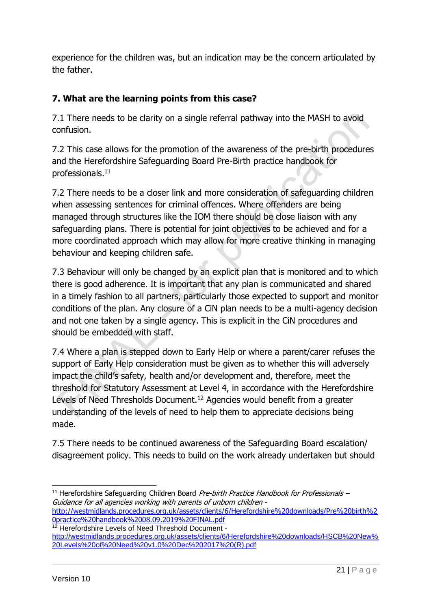experience for the children was, but an indication may be the concern articulated by the father.

### **7. What are the learning points from this case?**

7.1 There needs to be clarity on a single referral pathway into the MASH to avoid confusion.

7.2 This case allows for the promotion of the awareness of the pre-birth procedures and the Herefordshire Safeguarding Board Pre-Birth practice handbook for professionals.<sup>11</sup>

7.2 There needs to be a closer link and more consideration of safeguarding children when assessing sentences for criminal offences. Where offenders are being managed through structures like the IOM there should be close liaison with any safeguarding plans. There is potential for joint objectives to be achieved and for a more coordinated approach which may allow for more creative thinking in managing behaviour and keeping children safe.

7.3 Behaviour will only be changed by an explicit plan that is monitored and to which there is good adherence. It is important that any plan is communicated and shared in a timely fashion to all partners, particularly those expected to support and monitor conditions of the plan. Any closure of a CiN plan needs to be a multi-agency decision and not one taken by a single agency. This is explicit in the CiN procedures and should be embedded with staff.

7.4 Where a plan is stepped down to Early Help or where a parent/carer refuses the support of Early Help consideration must be given as to whether this will adversely impact the child's safety, health and/or development and, therefore, meet the threshold for Statutory Assessment at Level 4, in accordance with the Herefordshire Levels of Need Thresholds Document.<sup>12</sup> Agencies would benefit from a greater understanding of the levels of need to help them to appreciate decisions being made.

7.5 There needs to be continued awareness of the Safeguarding Board escalation/ disagreement policy. This needs to build on the work already undertaken but should

<sup>&</sup>lt;sup>11</sup> Herefordshire Safeguarding Children Board *Pre-birth Practice Handbook for Professionals –* Guidance for all agencies working with parents of unborn children [http://westmidlands.procedures.org.uk/assets/clients/6/Herefordshire%20downloads/Pre%20birth%2](http://westmidlands.procedures.org.uk/assets/clients/6/Herefordshire%20downloads/Pre%20birth%20practice%20handbook%2008.09.2019%20FINAL.pdf) [0practice%20handbook%2008.09.2019%20FINAL.pdf](http://westmidlands.procedures.org.uk/assets/clients/6/Herefordshire%20downloads/Pre%20birth%20practice%20handbook%2008.09.2019%20FINAL.pdf)

<sup>12</sup> Herefordshire Levels of Need Threshold Document -

[http://westmidlands.procedures.org.uk/assets/clients/6/Herefordshire%20downloads/HSCB%20New%](http://westmidlands.procedures.org.uk/assets/clients/6/Herefordshire%20downloads/HSCB%20New%20Levels%20of%20Need%20v1.0%20Dec%202017%20(R).pdf) [20Levels%20of%20Need%20v1.0%20Dec%202017%20\(R\).pdf](http://westmidlands.procedures.org.uk/assets/clients/6/Herefordshire%20downloads/HSCB%20New%20Levels%20of%20Need%20v1.0%20Dec%202017%20(R).pdf)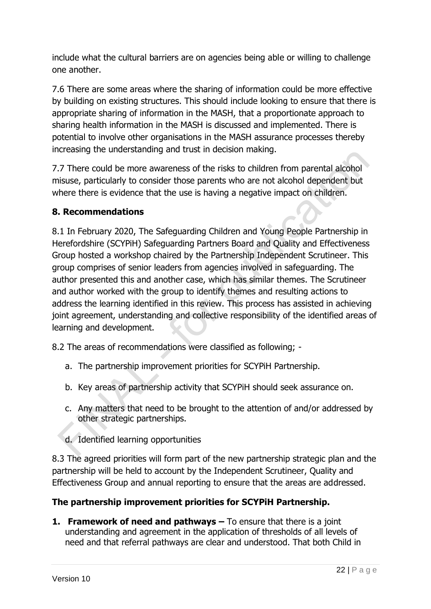include what the cultural barriers are on agencies being able or willing to challenge one another.

7.6 There are some areas where the sharing of information could be more effective by building on existing structures. This should include looking to ensure that there is appropriate sharing of information in the MASH, that a proportionate approach to sharing health information in the MASH is discussed and implemented. There is potential to involve other organisations in the MASH assurance processes thereby increasing the understanding and trust in decision making.

7.7 There could be more awareness of the risks to children from parental alcohol misuse, particularly to consider those parents who are not alcohol dependent but where there is evidence that the use is having a negative impact on children.

#### **8. Recommendations**

8.1 In February 2020, The Safeguarding Children and Young People Partnership in Herefordshire (SCYPiH) Safeguarding Partners Board and Quality and Effectiveness Group hosted a workshop chaired by the Partnership Independent Scrutineer. This group comprises of senior leaders from agencies involved in safeguarding. The author presented this and another case, which has similar themes. The Scrutineer and author worked with the group to identify themes and resulting actions to address the learning identified in this review. This process has assisted in achieving joint agreement, understanding and collective responsibility of the identified areas of learning and development.

8.2 The areas of recommendations were classified as following; -

- a. The partnership improvement priorities for SCYPiH Partnership.
- b. Key areas of partnership activity that SCYPiH should seek assurance on.
- c. Any matters that need to be brought to the attention of and/or addressed by other strategic partnerships.
- d. Identified learning opportunities

8.3 The agreed priorities will form part of the new partnership strategic plan and the partnership will be held to account by the Independent Scrutineer, Quality and Effectiveness Group and annual reporting to ensure that the areas are addressed.

### **The partnership improvement priorities for SCYPiH Partnership.**

**1. Framework of need and pathways –** To ensure that there is a joint understanding and agreement in the application of thresholds of all levels of need and that referral pathways are clear and understood. That both Child in